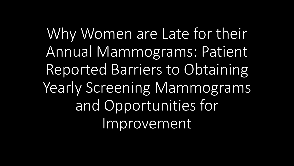Why Women are Late for their Annual Mammograms: Patient Reported Barriers to Obtaining Yearly Screening Mammograms and Opportunities for Improvement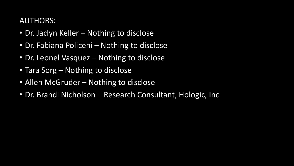### AUTHORS:

- Dr. Jaclyn Keller Nothing to disclose
- Dr. Fabiana Policeni Nothing to disclose
- Dr. Leonel Vasquez Nothing to disclose
- Tara Sorg Nothing to disclose
- Allen McGruder Nothing to disclose
- Dr. Brandi Nicholson Research Consultant, Hologic, Inc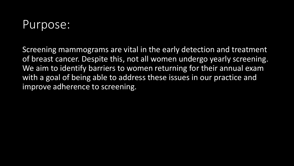## Purpose:

Screening mammograms are vital in the early detection and treatment of breast cancer. Despite this, not all women undergo yearly screening. We aim to identify barriers to women returning for their annual exam with a goal of being able to address these issues in our practice and improve adherence to screening.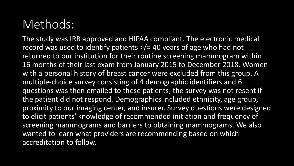# Methods:

The study was IRB approved and HIPAA compliant. The electronic medical record was used to identify patients >/= 40 years of age who had not returned to our institution for their routine screening mammogram within 16 months of their last exam from January 2015 to December 2018. Women with a personal history of breast cancer were excluded from this group. A multiple-choice survey consisting of 4 demographic identifiers and 6 questions was then emailed to these patients; the survey was not resent if the patient did not respond. Demographics included ethnicity, age group, proximity to our imaging center, and insurer. Survey questions were designed to elicit patients' knowledge of recommended initiation and frequency of screening mammograms and barriers to obtaining mammograms. We also wanted to learn what providers are recommending based on which accreditation to follow.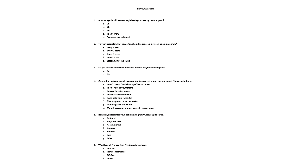### **Survey Questions**

- 1. At what age should women begin having a screening mammogram?
	- a. 35
	- b. 40
	- $c.50$
	- d. I don't know
	- e. Screening not indicated
- 2. To your understanding, how often should you receive a screening mammogram?
	- a. Every 1 year
	- b. Every 2 years
	- c. Every 3 years
	- d. I don't know
	- e. Screening not indicated
- 3. Do you receive a reminder when you are due for your mammogram?
	- a. Yes
	- b. No
- 4. Choose the main reason why you are late in completing your mammogram? Choose up to three.
	- a. I don't have a family history of breast cancer
	- b. I don't have any symptoms
	- c. I do not have insurance
	- d. I can't take time off work
	- e. I was not aware I was due
	- f. Mammograms cause me anxiety
	- g. Mammograms are painful
	- h. My last mammogram was a negative experience
- 5. How did you feel after your last mammogram? Choose up to three.
	- a. Relieved
	- b. Sad/Emotional
	- c. Accomplished
	- d. Anxious
	- e. Worried
	- f. Fine
	- g. Other
- 6. What type of Primary Care Physician do you have?
	- a. Internist
	- b. Family Practitioner
	- c. OB Gyn
	- d. Other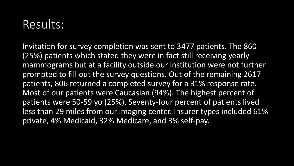### Results:

Invitation for survey completion was sent to 3477 patients. The 860 (25%) patients which stated they were in fact still receiving yearly mammograms but at a facility outside our institution were not further prompted to fill out the survey questions. Out of the remaining 2617 patients, 806 returned a completed survey for a 31% response rate. Most of our patients were Caucasian (94%). The highest percent of patients were 50-59 yo (25%). Seventy-four percent of patients lived less than 29 miles from our imaging center. Insurer types included 61% private, 4% Medicaid, 32% Medicare, and 3% self-pay.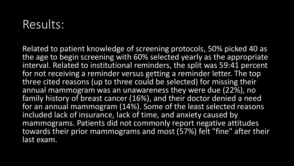## Results:

Related to patient knowledge of screening protocols, 50% picked 40 as the age to begin screening with 60% selected yearly as the appropriate interval. Related to institutional reminders, the split was 59:41 percent for not receiving a reminder versus getting a reminder letter. The top three cited reasons (up to three could be selected) for missing their annual mammogram was an unawareness they were due (22%), no family history of breast cancer (16%), and their doctor denied a need for an annual mammogram (14%). Some of the least selected reasons included lack of insurance, lack of time, and anxiety caused by mammograms. Patients did not commonly report negative attitudes towards their prior mammograms and most (57%) felt "fine" after their last exam.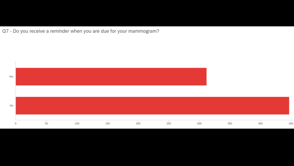Q7 - Do you receive a reminder when you are due for your mammogram?